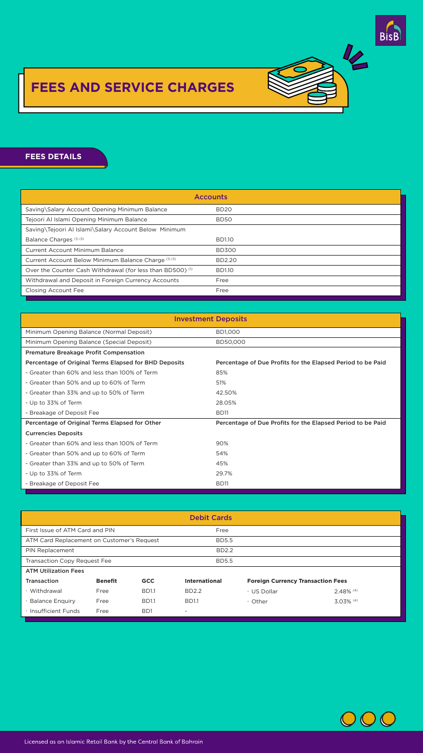# **FEES DETAILS Fees Details**

| <b>Accounts</b>                                                       |                  |  |
|-----------------------------------------------------------------------|------------------|--|
| Saving\Salary Account Opening Minimum Balance                         | BD <sub>20</sub> |  |
| Tejoori Al Islami Opening Minimum Balance                             | <b>BD50</b>      |  |
| Saving\Tejoori Al Islami\Salary Account Below Minimum                 |                  |  |
| Balance Charges (1) (3)                                               | <b>BD1.10</b>    |  |
| <b>Current Account Minimum Balance</b>                                | <b>BD300</b>     |  |
| Current Account Below Minimum Balance Charge (1) (3)                  | <b>BD2.20</b>    |  |
| Over the Counter Cash Withdrawal (for less than BD500) <sup>(1)</sup> | <b>BD1.10</b>    |  |
| Withdrawal and Deposit in Foreign Currency Accounts                   | Free             |  |
| <b>Closing Account Fee</b>                                            | Free             |  |

| <b>Investment Deposits</b>                                   |                                                             |  |  |  |
|--------------------------------------------------------------|-------------------------------------------------------------|--|--|--|
| Minimum Opening Balance (Normal Deposit)                     | <b>BD1,000</b>                                              |  |  |  |
| Minimum Opening Balance (Special Deposit)                    | BD50,000                                                    |  |  |  |
| <b>Premature Breakage Profit Compensation</b>                |                                                             |  |  |  |
| <b>Percentage of Original Terms Elapsed for BHD Deposits</b> | Percentage of Due Profits for the Elapsed Period to be Paid |  |  |  |
| - Greater than 60% and less than 100% of Term                | 85%                                                         |  |  |  |
| - Greater than 50% and up to 60% of Term                     | 51%                                                         |  |  |  |
| - Greater than 33% and up to 50% of Term                     | 42.50%                                                      |  |  |  |
| - Up to 33% of Term                                          | 28.05%                                                      |  |  |  |
| - Breakage of Deposit Fee                                    | <b>BD11</b>                                                 |  |  |  |
| Percentage of Original Terms Elapsed for Other               | Percentage of Due Profits for the Elapsed Period to be Paid |  |  |  |
| <b>Currencies Deposits</b>                                   |                                                             |  |  |  |
| - Greater than 60% and less than 100% of Term                | 90%                                                         |  |  |  |
| - Greater than 50% and up to 60% of Term                     | 54%                                                         |  |  |  |
| - Greater than 33% and up to 50% of Term                     | 45%                                                         |  |  |  |
| - Up to 33% of Term                                          | 29.7%                                                       |  |  |  |
| - Breakage of Deposit Fee                                    | <b>BD11</b>                                                 |  |  |  |





# **FEES AND SERVICE CHARGES**

Copy of Statement Up to 2 Times a Year Free

| <b>Debit Cards</b>                         |                |                  |                      |                                          |              |  |
|--------------------------------------------|----------------|------------------|----------------------|------------------------------------------|--------------|--|
| First Issue of ATM Card and PIN            |                |                  | Free                 |                                          |              |  |
| ATM Card Replacement on Customer's Request |                |                  | <b>BD5.5</b>         |                                          |              |  |
| <b>PIN Replacement</b>                     |                |                  | <b>BD2.2</b>         |                                          |              |  |
| <b>Transaction Copy Request Fee</b>        |                |                  | <b>BD5.5</b>         |                                          |              |  |
| <b>ATM Utilization Fees</b>                |                |                  |                      |                                          |              |  |
| <b>Transaction</b>                         | <b>Benefit</b> | <b>GCC</b>       | <b>International</b> | <b>Foreign Currency Transaction Fees</b> |              |  |
| · Withdrawal                               | Free           | <b>BD1.1</b>     | <b>BD2.2</b>         | · US Dollar                              | 2.48% (4)    |  |
| <b>Balance Enguiry</b>                     | Free           | <b>BD1.1</b>     | <b>BD1.1</b>         | • Other                                  | $3.03\%$ (4) |  |
| · Insufficient Funds                       | Free           | B <sub>D</sub> 1 | $\sim$               |                                          |              |  |



## Licensed as an Islamic Retail Bank by the Central Bank of Bahrain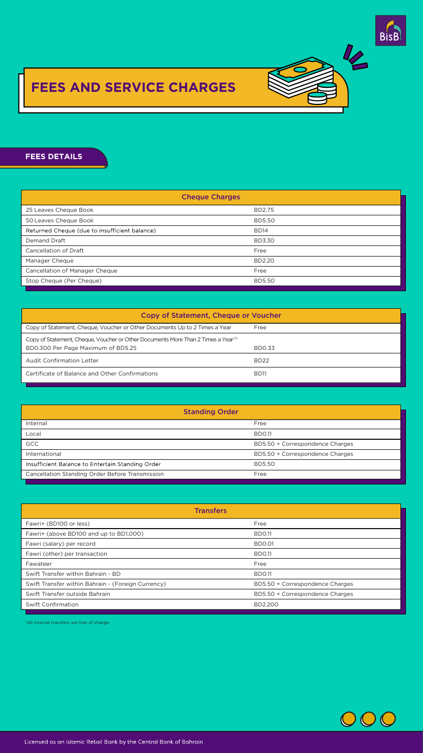

12

#### Finance Processing Fees Finance Processing Fees **FEES DETAILS Fees Details** Transaction Copy Request Fee 5.25 ATM Utilization Fees **BR<sub>2</sub>** DETAIR  $- - - - - - - -$

Transfers

Transfers

Percentage of original Terms Elapsed Percentage of Due Profits for the Elapsed Period to be Paid

Debit Cards

| <b>Copy of Statement, Cheque or Voucher</b>                                                                                         |               |
|-------------------------------------------------------------------------------------------------------------------------------------|---------------|
| Copy of Statement, Cheque, Voucher or Other Documents Up to 2 Times a Year                                                          | Free          |
| Copy of Statement, Cheque, Voucher or Other Documents More Than 2 Times a Year <sup>(1)</sup><br>BD0.300 Per Page Maximum of BD5.25 | <b>BD0.33</b> |



| <b>Audit Confirmation Letter</b>               | <b>BD22</b> |
|------------------------------------------------|-------------|
| Certificate of Balance and Other Confirmations | <b>BD11</b> |
|                                                |             |

|                                                                                                                                     | <b>Cheque Charges</b> |  |  |  |  |
|-------------------------------------------------------------------------------------------------------------------------------------|-----------------------|--|--|--|--|
| 25 Leaves Cheque Book                                                                                                               | <b>BD2.75</b>         |  |  |  |  |
| 50 Leaves Cheque Book                                                                                                               | <b>BD5.50</b>         |  |  |  |  |
| Returned Cheque (due to insufficient balance)                                                                                       | <b>BD14</b>           |  |  |  |  |
| <b>Demand Draft</b>                                                                                                                 | <b>BD3.30</b>         |  |  |  |  |
| <b>Cancellation of Draft</b>                                                                                                        | Free                  |  |  |  |  |
| Manager Cheque                                                                                                                      | <b>BD2.20</b>         |  |  |  |  |
| <b>Cancellation of Manager Cheque</b>                                                                                               | Free                  |  |  |  |  |
| Stop Cheque (Per Cheque)                                                                                                            | <b>BD5.50</b>         |  |  |  |  |
| <b>Copy of Statement, Cheque or Voucher</b>                                                                                         |                       |  |  |  |  |
| Copy of Statement, Cheque, Voucher or Other Documents Up to 2 Times a Year                                                          | Free                  |  |  |  |  |
| Copy of Statement, Cheque, Voucher or Other Documents More Than 2 Times a Year <sup>(1)</sup><br>BD0.300 Per Page Maximum of BD5.25 | <b>BD0.33</b>         |  |  |  |  |
| <b>Audit Confirmation Letter</b>                                                                                                    | <b>BD22</b>           |  |  |  |  |
| Certificate of Balance and Other Confirmations                                                                                      | <b>BD11</b>           |  |  |  |  |
|                                                                                                                                     |                       |  |  |  |  |
| <b>Standing Order</b>                                                                                                               |                       |  |  |  |  |

Less than 33% of Term 26.66%

PIN Replacement Fee on Customer's Request 2.10

Swift Confirmation 2.100 percent confirmation 2.100 percent confirmation 2.100 percent confirmation 2.100 percent

Swift Confirmation 2.100 percent confirmation 2.100 percent confirmation 2.100 percent confirmation 2.100 percent

Withdrawal

Benefit GCC International

Benefit GCCC international control of the control of the control of the control of

Free 1 2.10 and 2.10 and 2.10 and 2.10 and 2.10 and 2.10 and 2.10 and 2.10 and 2.10 and 2.10 and

Free 1.05 1.05

 $\mathbf{F}$  and  $\mathbf{F}$  are the set of  $\mathbf{F}$  . The set of  $\mathbf{F}$ 

 $\mathcal{F}_{\mathcal{A}}$  factorizes the contribution of  $\mathcal{F}_{\mathcal{A}}$  and  $\mathcal{F}_{\mathcal{A}}$  and  $\mathcal{F}_{\mathcal{A}}$  and  $\mathcal{F}_{\mathcal{A}}$  and  $\mathcal{F}_{\mathcal{A}}$  and  $\mathcal{F}_{\mathcal{A}}$  and  $\mathcal{F}_{\mathcal{A}}$  and  $\mathcal{F}_{\mathcal{A}}$  and  $\mathcal{F}_{\mathcal{A}}$  and  $\mathcal$ 

Fawri+ (BD100 or less) Free

| <b>Transfers</b>                                   |                                 |  |  |  |
|----------------------------------------------------|---------------------------------|--|--|--|
| Fawri+ (BD100 or less)                             | Free                            |  |  |  |
| Fawri+ (above BD100 and up to BD1,000)             | <b>BD0.11</b>                   |  |  |  |
| Fawri (salary) per record                          | <b>BDO.01</b>                   |  |  |  |
| Fawri (other) per transaction                      | <b>BD0.11</b>                   |  |  |  |
| Fawateer                                           | Free                            |  |  |  |
| Swift Transfer within Bahrain - BD                 | <b>BD0.11</b>                   |  |  |  |
| Swift Transfer within Bahrain - (Foreign Currency) | BD5.50 + Correspondence Charges |  |  |  |
| Swift Transfer outside Bahrain                     | BD5.50 + Correspondence Charges |  |  |  |
| <b>Swift Confirmation</b>                          | <b>BD2.200</b>                  |  |  |  |
|                                                    |                                 |  |  |  |

| <b>Standing Order</b>                                  |                                 |  |  |  |  |
|--------------------------------------------------------|---------------------------------|--|--|--|--|
| Internal                                               | Free                            |  |  |  |  |
| Local                                                  | <b>BD0.11</b>                   |  |  |  |  |
| <b>GCC</b>                                             | BD5.50 + Correspondence Charges |  |  |  |  |
| International                                          | BD5.50 + Correspondence Charges |  |  |  |  |
| Insufficient Balance to Entertain Standing Order       | <b>BD5.50</b>                   |  |  |  |  |
| <b>Cancellation Standing Order Before Transmission</b> | Free                            |  |  |  |  |
|                                                        |                                 |  |  |  |  |

First Issue of ATM Card and PIN Free

25 Leaves Cheque Book BD2.625 ATM Utilization Fees \*All internal transfers are free of charge.



## Licensed as an Islamic Retail Bank by the Central Bank of Bahrain Andrew Manager Chern Books.<br>Licensed as an Islamic Retail Bank by the Central Bank of Bahrain

Cancellation of Draft Free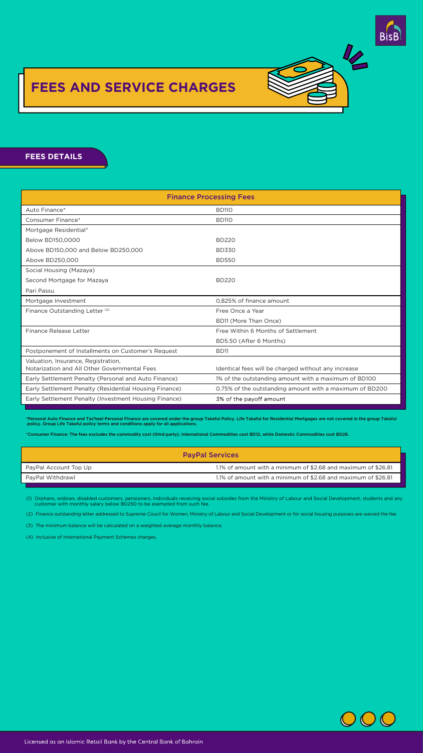- (1) Orphans, widows, disabled customers, pensioners, individuals receiving social subsides from the Ministry of Labour and Social Development, students and any customer with monthly salary below BD250 to be exempted from such fee.
- (2) Finance outstanding letter addressed to Supreme Coucil for Women, Ministry of Labour and Social Development or for social housing purposes are waived the fee.
- (3) The minimum balance will be calculated on a weighted average monthly balance.
- (4) Inclusive of International Payment Schemes charges.



### Licensed as an Islamic Retail Bank by the Central Bank of Bahrain





### **FEES AND SERVICE CHARGES** FFRA MIAD AFILIANAL ANDRE IES

Transfers

| <b>Finance Processing Fees</b>                                                      |                                                         |  |  |
|-------------------------------------------------------------------------------------|---------------------------------------------------------|--|--|
| Auto Finance*                                                                       | <b>BD110</b>                                            |  |  |
| <b>Consumer Finance*</b>                                                            | <b>BD110</b>                                            |  |  |
| Mortgage Residential*                                                               |                                                         |  |  |
| Below BD150,0000                                                                    | <b>BD220</b>                                            |  |  |
| Above BD150,000 and Below BD250,000                                                 | <b>BD330</b>                                            |  |  |
| Above BD250,000                                                                     | <b>BD550</b>                                            |  |  |
| Social Housing (Mazaya)                                                             |                                                         |  |  |
| Second Mortgage for Mazaya                                                          | <b>BD220</b>                                            |  |  |
| Pari Passu                                                                          |                                                         |  |  |
| Mortgage Investment                                                                 | 0.825% of finance amount                                |  |  |
| Finance Outstanding Letter <sup>(2)</sup>                                           | Free Once a Year                                        |  |  |
|                                                                                     | BD11 (More Than Once)                                   |  |  |
| <b>Finance Release Letter</b>                                                       | Free Within 6 Months of Settlement                      |  |  |
|                                                                                     | BD5.50 (After 6 Months)                                 |  |  |
| Postponement of Installments on Customer's Request                                  | <b>BD11</b>                                             |  |  |
| Valuation, Insurance, Registration,<br>Notarization and All Other Governmental Fees | Identical fees will be charged without any increase     |  |  |
| Early Settlement Penalty (Personal and Auto Finance)                                | 1% of the outstanding amount with a maximum of BD100    |  |  |
| Early Settlement Penalty (Residential Housing Finance)                              | 0.75% of the outstanding amount with a maximum of BD200 |  |  |
| Early Settlement Penalty (Investment Housing Finance)                               | 3% of the payoff amount                                 |  |  |

Fawri (other) per transaction BD0.105

Swift Transfer within Bahrain BD0.105

#### **FEES DETAILS Fees Details** Autor Finance BD105 (1995) (1995) (1995) (1995) (1995) (1995) (1995) (1995) (1995) (1995) (1995) (1995) (1995) Mortgage  $F$  , and  $F$  is a set  $\mathcal{A}$  bound  $\mathcal{A}$  bound  $\mathcal{A}$  bound  $\mathcal{A}$  and  $\mathcal{A}$  and  $\mathcal{A}$  and  $\mathcal{A}$ FEES DETAILS AND THE RESIDENCE IN THE RESIDENCE IN THE RESIDENCE IN THE RESIDENCE IN THE RESIDENCE IN THE RESID

| <b>PayPal Services</b> |                                                                |  |  |
|------------------------|----------------------------------------------------------------|--|--|
| PayPal Account Top Up  | 1.1% of amount with a minimum of \$2.68 and maximum of \$26.81 |  |  |
| PayPal Withdrawl       | 1.1% of amount with a minimum of \$2.68 and maximum of \$26.81 |  |  |

\*Personal Auto Finance and Tas'heel Personal Finance are covered under the group Takaful Policy. Life Takaful for Residential Mortgages are not covered in the group Takaful policy. Group Life Takaful policy terms and conditions apply for all applications.

\*Consumer Finance: The fees excludes the commodity cost (third party). International Commodities cost BD12, while Domestic Commodities cost BD26.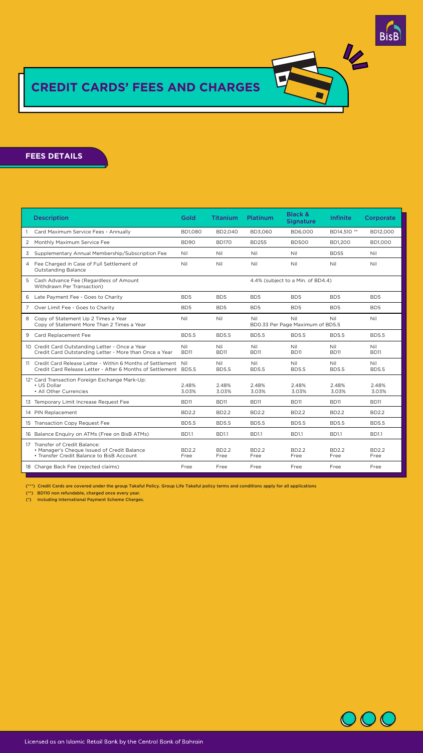(\*) Including International Payment Scheme Charges.



### Licensed as an Islamic Retail Bank by the Central Bank of Bahrain

(\*\*) BD110 non refundable, charged once every year.

| <b>Description</b>                                                                                                                  | Gold                      | <b>Titanium</b>      | <b>Platinum</b>            | <b>Black &amp;</b><br><b>Signature</b>  | <b>Infinite</b>      | Corporate                  |
|-------------------------------------------------------------------------------------------------------------------------------------|---------------------------|----------------------|----------------------------|-----------------------------------------|----------------------|----------------------------|
| Card Maximum Service Fees - Annually                                                                                                | <b>BD1,080</b>            | BD2,040              | <b>BD3,060</b>             | <b>BD6,000</b>                          | BD14,510 **          | BD12,000                   |
| Monthly Maximum Service Fee<br>$\overline{2}$                                                                                       | <b>BD90</b>               | <b>BD170</b>         | <b>BD255</b>               | <b>BD500</b>                            | <b>BD1,200</b>       | <b>BD1,000</b>             |
| Supplementary Annual Membership/Subscription Fee<br>3                                                                               | <b>Nil</b>                | Nil                  | Nil                        | Nil                                     | <b>BD55</b>          | Nil                        |
| Fee Charged in Case of Full Settlement of<br>4<br><b>Outstanding Balance</b>                                                        | Nil                       | Nil                  | Nil                        | Nil                                     | Nil                  | <b>Nil</b>                 |
| Cash Advance Fee (Regardless of Amount<br>5<br>Withdrawn Per Transaction)                                                           |                           |                      |                            | 4.4% (subject to a Min. of BD4.4)       |                      |                            |
| Late Payment Fee - Goes to Charity<br>6                                                                                             | BD <sub>5</sub>           | B <sub>D</sub>       | B <sub>D</sub>             | BD <sub>5</sub>                         | BD <sub>5</sub>      | B <sub>D</sub>             |
| Over Limit Fee - Goes to Charity<br>7                                                                                               | BD <sub>5</sub>           | BD <sub>5</sub>      | BD <sub>5</sub>            | B <sub>D5</sub>                         | B <sub>D</sub>       | BD <sub>5</sub>            |
| Copy of Statement Up 2 Times a Year<br>8<br>Copy of Statement More Than 2 Times a Year                                              | <b>Nil</b>                | Nil                  | Nil                        | Nil<br>BD0.33 Per Page Maximum of BD5.5 | Nil                  | Nil                        |
| <b>Card Replacement Fee</b><br>9                                                                                                    | <b>BD5.5</b>              | <b>BD5.5</b>         | <b>BD5.5</b>               | <b>BD5.5</b>                            | <b>BD5.5</b>         | <b>BD5.5</b>               |
| 10 Credit Card Outstanding Letter - Once a Year<br>Credit Card Outstanding Letter - More than Once a Year                           | <b>Nil</b><br><b>BD11</b> | Nil<br><b>BD11</b>   | <b>Nil</b><br><b>BD11</b>  | <b>Nil</b><br><b>BD11</b>               | Nil<br><b>BD11</b>   | <b>Nil</b><br><b>BD11</b>  |
| Credit Card Release Letter - Within 6 Months of Settlement<br>11<br>Credit Card Release Letter - After 6 Months of Settlement BD5.5 | Nil                       | Nil<br><b>BD5.5</b>  | <b>Nil</b><br><b>BD5.5</b> | <b>Nil</b><br><b>BD5.5</b>              | Nil<br><b>BD5.5</b>  | <b>Nil</b><br><b>BD5.5</b> |
| 12* Card Transaction Foreign Exchange Mark-Up:<br>• US Dollar<br>• All Other Currencies                                             | 2.48%<br>3.03%            | 2.48%<br>3.03%       | 2.48%<br>3.03%             | 2.48%<br>3.03%                          | 2.48%<br>3.03%       | 2.48%<br>3.03%             |
| Temporary Limit Increase Request Fee<br>13                                                                                          | <b>BD11</b>               | <b>BD11</b>          | <b>BD11</b>                | <b>BD11</b>                             | <b>BD11</b>          | <b>BD11</b>                |
| 14 PIN Replacement                                                                                                                  | <b>BD2.2</b>              | <b>BD2.2</b>         | <b>BD2.2</b>               | <b>BD2.2</b>                            | <b>BD2.2</b>         | <b>BD2.2</b>               |
| 15 Transaction Copy Request Fee                                                                                                     | <b>BD5.5</b>              | <b>BD5.5</b>         | <b>BD5.5</b>               | <b>BD5.5</b>                            | <b>BD5.5</b>         | <b>BD5.5</b>               |
| Balance Enquiry on ATMs (Free on BisB ATMs)<br>16                                                                                   | <b>BD1.1</b>              | <b>BD1.1</b>         | <b>BD1.1</b>               | <b>BD1.1</b>                            | <b>BD1.1</b>         | <b>BD1.1</b>               |
| Transfer of Credit Balance:<br>17<br>• Manager's Cheque Issued of Credit Balance<br>• Transfer Credit Balance to BisB Account       | <b>BD2.2</b><br>Free      | <b>BD2.2</b><br>Free | <b>BD2.2</b><br>Free       | <b>BD2.2</b><br>Free                    | <b>BD2.2</b><br>Free | <b>BD2.2</b><br>Free       |
| 18 Charge Back Fee (rejected claims)                                                                                                | Free                      | Free                 | Free                       | Free                                    | Free                 | Free                       |





# **CREDIT CARDS' FEES AND CHARGES**

**FEES DETAILS Fees Details**

(\*\*\*) Credit Cards are covered under the group Takaful Policy. Group Life Takaful policy terms and conditions apply for all applications